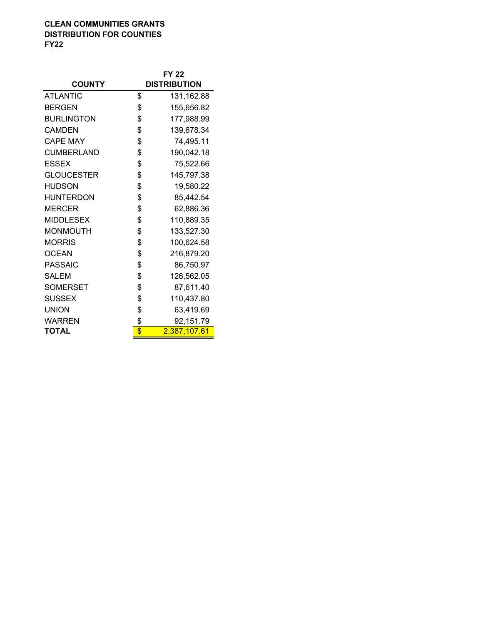## **CLEAN COMMUNITIES GRANTS DISTRIBUTION FOR COUNTIES FY22**

|                   | <b>FY 22</b>        |              |  |
|-------------------|---------------------|--------------|--|
| <b>COUNTY</b>     | <b>DISTRIBUTION</b> |              |  |
| <b>ATLANTIC</b>   | \$                  | 131,162.88   |  |
| <b>BERGEN</b>     | \$                  | 155,656.82   |  |
| <b>BURLINGTON</b> | \$                  | 177,988.99   |  |
| <b>CAMDEN</b>     | \$                  | 139,678.34   |  |
| <b>CAPE MAY</b>   | \$                  | 74,495.11    |  |
| <b>CUMBERLAND</b> | \$                  | 190,042.18   |  |
| <b>ESSEX</b>      | \$                  | 75,522.66    |  |
| <b>GLOUCESTER</b> | \$                  | 145,797.38   |  |
| <b>HUDSON</b>     | \$                  | 19,580.22    |  |
| <b>HUNTERDON</b>  | \$                  | 85,442.54    |  |
| <b>MERCER</b>     | \$                  | 62,886.36    |  |
| <b>MIDDLESEX</b>  | \$                  | 110,889.35   |  |
| <b>MONMOUTH</b>   | \$                  | 133,527.30   |  |
| <b>MORRIS</b>     | \$                  | 100,624.58   |  |
| <b>OCEAN</b>      | \$                  | 216,879.20   |  |
| <b>PASSAIC</b>    | \$                  | 86,750.97    |  |
| <b>SALEM</b>      | \$                  | 126,562.05   |  |
| <b>SOMERSET</b>   | \$                  | 87,611.40    |  |
| <b>SUSSEX</b>     | \$                  | 110,437.80   |  |
| <b>UNION</b>      | \$                  | 63,419.69    |  |
| WARREN            | \$                  | 92,151.79    |  |
| TOTAL             | \$                  | 2,387,107.61 |  |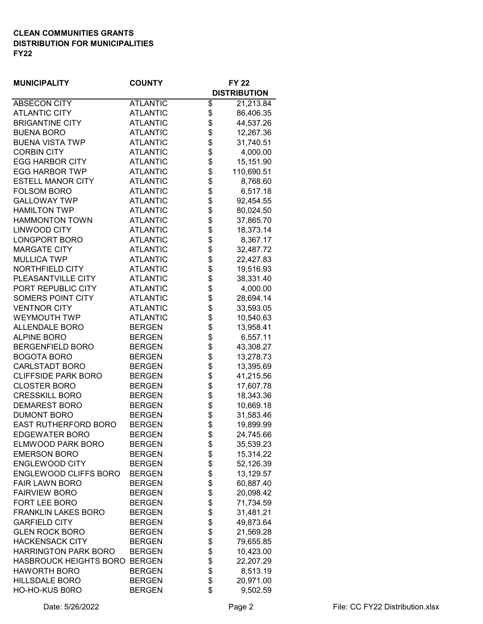## **CLEAN COMMUNITIES GRANTS DISTRIBUTION FOR MUNICIPALITIES FY22**

| <b>MUNICIPALITY</b>           | <b>COUNTY</b>   |    | FY 22               |
|-------------------------------|-----------------|----|---------------------|
|                               |                 |    | <b>DISTRIBUTION</b> |
| <b>ABSECON CITY</b>           | <b>ATLANTIC</b> | \$ | 21,213.84           |
| <b>ATLANTIC CITY</b>          | <b>ATLANTIC</b> | \$ | 86,406.35           |
| <b>BRIGANTINE CITY</b>        | <b>ATLANTIC</b> | \$ | 44,537.26           |
| <b>BUENA BORO</b>             | <b>ATLANTIC</b> | \$ | 12,267.36           |
| <b>BUENA VISTA TWP</b>        | <b>ATLANTIC</b> | \$ | 31,740.51           |
| <b>CORBIN CITY</b>            | <b>ATLANTIC</b> | \$ | 4,000.00            |
| <b>EGG HARBOR CITY</b>        | <b>ATLANTIC</b> | \$ | 15,151.90           |
| <b>EGG HARBOR TWP</b>         | <b>ATLANTIC</b> | \$ | 110,690.51          |
| <b>ESTELL MANOR CITY</b>      | <b>ATLANTIC</b> | \$ | 8,768.60            |
| <b>FOLSOM BORO</b>            | <b>ATLANTIC</b> | \$ | 6,517.18            |
| <b>GALLOWAY TWP</b>           | <b>ATLANTIC</b> | \$ | 92,454.55           |
| <b>HAMILTON TWP</b>           | <b>ATLANTIC</b> | \$ | 80,024.50           |
| <b>HAMMONTON TOWN</b>         | <b>ATLANTIC</b> | \$ | 37,865.70           |
| <b>LINWOOD CITY</b>           | <b>ATLANTIC</b> | \$ | 18,373.14           |
| <b>LONGPORT BORO</b>          | <b>ATLANTIC</b> | \$ | 8,367.17            |
| <b>MARGATE CITY</b>           | <b>ATLANTIC</b> | \$ | 32,487.72           |
| <b>MULLICA TWP</b>            | <b>ATLANTIC</b> | \$ | 22,427.83           |
| NORTHFIELD CITY               | <b>ATLANTIC</b> | \$ | 19,516.93           |
| PLEASANTVILLE CITY            | <b>ATLANTIC</b> | \$ | 38,331.40           |
| PORT REPUBLIC CITY            | <b>ATLANTIC</b> | \$ | 4,000.00            |
| SOMERS POINT CITY             | <b>ATLANTIC</b> | \$ | 28,694.14           |
| <b>VENTNOR CITY</b>           | <b>ATLANTIC</b> | \$ | 33,593.05           |
| <b>WEYMOUTH TWP</b>           | <b>ATLANTIC</b> | \$ | 10,540.63           |
| <b>ALLENDALE BORO</b>         | <b>BERGEN</b>   | \$ | 13,958.41           |
| <b>ALPINE BORO</b>            | <b>BERGEN</b>   | \$ | 6,557.11            |
| <b>BERGENFIELD BORO</b>       | <b>BERGEN</b>   | \$ | 43,308.27           |
| <b>BOGOTA BORO</b>            | <b>BERGEN</b>   | \$ | 13,278.73           |
| <b>CARLSTADT BORO</b>         | <b>BERGEN</b>   | \$ | 13,395.69           |
| <b>CLIFFSIDE PARK BORO</b>    | <b>BERGEN</b>   | \$ | 41,215.56           |
| <b>CLOSTER BORO</b>           | <b>BERGEN</b>   | \$ | 17,607.78           |
| <b>CRESSKILL BORO</b>         | <b>BERGEN</b>   | \$ | 18,343.36           |
| <b>DEMAREST BORO</b>          | <b>BERGEN</b>   | \$ | 10,669.18           |
| <b>DUMONT BORO</b>            | <b>BERGEN</b>   | \$ | 31,583.46           |
| EAST RUTHERFORD BORO          | <b>BERGEN</b>   | \$ | 19,899.99           |
| <b>EDGEWATER BORO</b>         | <b>BERGEN</b>   | ሖ  | 24,745.66           |
| ELMWOOD PARK BORO             |                 | Φ  |                     |
| <b>EMERSON BORO</b>           | <b>BERGEN</b>   | \$ | 35,539.23           |
|                               | <b>BERGEN</b>   | \$ | 15,314.22           |
| <b>ENGLEWOOD CITY</b>         | <b>BERGEN</b>   | \$ | 52,126.39           |
| ENGLEWOOD CLIFFS BORO         | <b>BERGEN</b>   | \$ | 13,129.57           |
| <b>FAIR LAWN BORO</b>         | <b>BERGEN</b>   | \$ | 60,887.40           |
| <b>FAIRVIEW BORO</b>          | <b>BERGEN</b>   | \$ | 20,098.42           |
| FORT LEE BORO                 | <b>BERGEN</b>   | \$ | 71,734.59           |
| <b>FRANKLIN LAKES BORO</b>    | <b>BERGEN</b>   | \$ | 31,481.21           |
| <b>GARFIELD CITY</b>          | <b>BERGEN</b>   | \$ | 49,873.64           |
| <b>GLEN ROCK BORO</b>         | <b>BERGEN</b>   | \$ | 21,569.28           |
| <b>HACKENSACK CITY</b>        | <b>BERGEN</b>   | \$ | 79,655.85           |
| <b>HARRINGTON PARK BORO</b>   | <b>BERGEN</b>   | \$ | 10,423.00           |
| HASBROUCK HEIGHTS BORO BERGEN |                 | \$ | 22,207.29           |
| <b>HAWORTH BORO</b>           | <b>BERGEN</b>   | \$ | 8,513.19            |
| <b>HILLSDALE BORO</b>         | <b>BERGEN</b>   | \$ | 20,971.00           |
| HO-HO-KUS B0RO                | <b>BERGEN</b>   | \$ | 9,502.59            |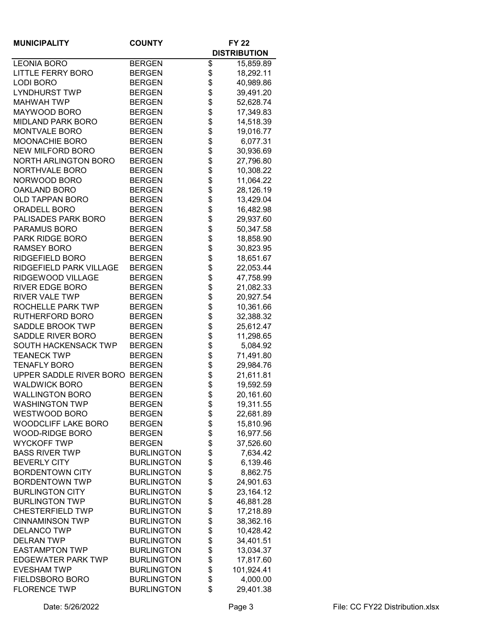| <b>MUNICIPALITY</b>            | <b>COUNTY</b>     |    | <b>FY 22</b>        |
|--------------------------------|-------------------|----|---------------------|
|                                |                   |    | <b>DISTRIBUTION</b> |
| <b>LEONIA BORO</b>             | <b>BERGEN</b>     | \$ | 15,859.89           |
| <b>LITTLE FERRY BORO</b>       | <b>BERGEN</b>     | \$ | 18,292.11           |
| <b>LODI BORO</b>               | <b>BERGEN</b>     | \$ | 40,989.86           |
| <b>LYNDHURST TWP</b>           | <b>BERGEN</b>     | \$ | 39,491.20           |
| <b>MAHWAH TWP</b>              | <b>BERGEN</b>     | \$ | 52,628.74           |
| MAYWOOD BORO                   | <b>BERGEN</b>     | \$ | 17,349.83           |
| <b>MIDLAND PARK BORO</b>       | <b>BERGEN</b>     | \$ | 14,518.39           |
| <b>MONTVALE BORO</b>           | <b>BERGEN</b>     | \$ | 19,016.77           |
| <b>MOONACHIE BORO</b>          | <b>BERGEN</b>     | \$ | 6,077.31            |
| <b>NEW MILFORD BORO</b>        | <b>BERGEN</b>     | \$ | 30,936.69           |
| <b>NORTH ARLINGTON BORO</b>    | <b>BERGEN</b>     | \$ | 27,796.80           |
| NORTHVALE BORO                 | <b>BERGEN</b>     | \$ | 10,308.22           |
| NORWOOD BORO                   | <b>BERGEN</b>     | \$ | 11,064.22           |
| OAKLAND BORO                   | <b>BERGEN</b>     | \$ | 28,126.19           |
| <b>OLD TAPPAN BORO</b>         | <b>BERGEN</b>     | \$ | 13,429.04           |
| <b>ORADELL BORO</b>            | <b>BERGEN</b>     | \$ | 16,482.98           |
| PALISADES PARK BORO            | <b>BERGEN</b>     | \$ | 29,937.60           |
| PARAMUS BORO                   | <b>BERGEN</b>     | \$ | 50,347.58           |
| PARK RIDGE BORO                | <b>BERGEN</b>     | \$ | 18,858.90           |
| <b>RAMSEY BORO</b>             | <b>BERGEN</b>     | \$ | 30,823.95           |
| RIDGEFIELD BORO                | <b>BERGEN</b>     | \$ | 18,651.67           |
| RIDGEFIELD PARK VILLAGE        | <b>BERGEN</b>     | \$ | 22,053.44           |
| RIDGEWOOD VILLAGE              | <b>BERGEN</b>     | \$ | 47,758.99           |
| <b>RIVER EDGE BORO</b>         | <b>BERGEN</b>     | \$ | 21,082.33           |
| <b>RIVER VALE TWP</b>          | <b>BERGEN</b>     | \$ | 20,927.54           |
| ROCHELLE PARK TWP              | <b>BERGEN</b>     | \$ | 10,361.66           |
| RUTHERFORD BORO                | <b>BERGEN</b>     | \$ | 32,388.32           |
| <b>SADDLE BROOK TWP</b>        | <b>BERGEN</b>     | \$ | 25,612.47           |
| SADDLE RIVER BORO              | <b>BERGEN</b>     | \$ | 11,298.65           |
| <b>SOUTH HACKENSACK TWP</b>    | <b>BERGEN</b>     | \$ | 5,084.92            |
| <b>TEANECK TWP</b>             | <b>BERGEN</b>     | \$ | 71,491.80           |
| <b>TENAFLY BORO</b>            | <b>BERGEN</b>     | \$ | 29,984.76           |
| UPPER SADDLE RIVER BORO BERGEN |                   | \$ | 21,611.81           |
| <b>WALDWICK BORO</b>           | <b>BERGEN</b>     | \$ | 19,592.59           |
| <b>WALLINGTON BORO</b>         | <b>BERGEN</b>     | Φ  | 20,161.60           |
| <b>WASHINGTON TWP</b>          | <b>BERGEN</b>     | \$ | 19,311.55           |
| WESTWOOD BORO                  | <b>BERGEN</b>     | \$ | 22,681.89           |
| <b>WOODCLIFF LAKE BORO</b>     | <b>BERGEN</b>     | \$ | 15,810.96           |
| <b>WOOD-RIDGE BORO</b>         | <b>BERGEN</b>     | \$ | 16,977.56           |
| <b>WYCKOFF TWP</b>             | <b>BERGEN</b>     | \$ | 37,526.60           |
| <b>BASS RIVER TWP</b>          | <b>BURLINGTON</b> | \$ | 7,634.42            |
| <b>BEVERLY CITY</b>            | <b>BURLINGTON</b> | \$ | 6,139.46            |
| <b>BORDENTOWN CITY</b>         | <b>BURLINGTON</b> | \$ | 8,862.75            |
| <b>BORDENTOWN TWP</b>          | <b>BURLINGTON</b> | \$ | 24,901.63           |
| <b>BURLINGTON CITY</b>         | <b>BURLINGTON</b> | \$ | 23,164.12           |
| <b>BURLINGTON TWP</b>          | <b>BURLINGTON</b> | \$ | 46,881.28           |
| <b>CHESTERFIELD TWP</b>        | <b>BURLINGTON</b> | \$ | 17,218.89           |
| <b>CINNAMINSON TWP</b>         | <b>BURLINGTON</b> | \$ | 38,362.16           |
| <b>DELANCO TWP</b>             | <b>BURLINGTON</b> | \$ | 10,428.42           |
| <b>DELRAN TWP</b>              | <b>BURLINGTON</b> | \$ | 34,401.51           |
| <b>EASTAMPTON TWP</b>          | <b>BURLINGTON</b> | \$ | 13,034.37           |
| <b>EDGEWATER PARK TWP</b>      | <b>BURLINGTON</b> | \$ | 17,817.60           |
| <b>EVESHAM TWP</b>             | <b>BURLINGTON</b> | \$ | 101,924.41          |
| <b>FIELDSBORO BORO</b>         | <b>BURLINGTON</b> | \$ | 4,000.00            |
| <b>FLORENCE TWP</b>            | <b>BURLINGTON</b> | \$ | 29,401.38           |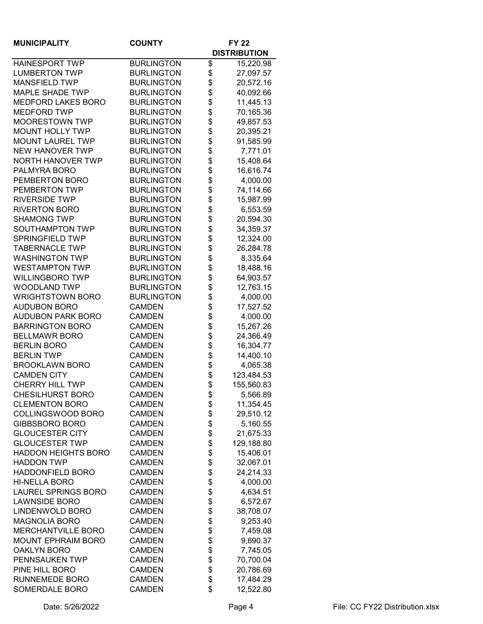| <b>MUNICIPALITY</b>        | <b>COUNTY</b>     | <b>FY 22</b> |                     |
|----------------------------|-------------------|--------------|---------------------|
|                            |                   |              | <b>DISTRIBUTION</b> |
| <b>HAINESPORT TWP</b>      | <b>BURLINGTON</b> | \$           | 15,220.98           |
| <b>LUMBERTON TWP</b>       | <b>BURLINGTON</b> | \$           | 27,097.57           |
| <b>MANSFIELD TWP</b>       | <b>BURLINGTON</b> | \$           | 20,572.16           |
| <b>MAPLE SHADE TWP</b>     | <b>BURLINGTON</b> | \$           | 40,092.66           |
| <b>MEDFORD LAKES BORO</b>  | <b>BURLINGTON</b> | \$           | 11,445.13           |
| <b>MEDFORD TWP</b>         | <b>BURLINGTON</b> | \$           | 70,165.36           |
| <b>MOORESTOWN TWP</b>      | <b>BURLINGTON</b> | \$           | 49,857.53           |
| <b>MOUNT HOLLY TWP</b>     | <b>BURLINGTON</b> | \$           | 20,395.21           |
| <b>MOUNT LAUREL TWP</b>    | <b>BURLINGTON</b> | \$           | 91,585.99           |
| <b>NEW HANOVER TWP</b>     | <b>BURLINGTON</b> | \$           | 7,771.01            |
| <b>NORTH HANOVER TWP</b>   | <b>BURLINGTON</b> | \$           | 15,408.64           |
| PALMYRA BORO               | <b>BURLINGTON</b> | \$           | 16,616.74           |
| PEMBERTON BORO             | <b>BURLINGTON</b> | \$           | 4,000.00            |
| PEMBERTON TWP              | <b>BURLINGTON</b> | \$           | 74,114.66           |
| <b>RIVERSIDE TWP</b>       | <b>BURLINGTON</b> | \$           | 15,987.99           |
| <b>RIVERTON BORO</b>       | <b>BURLINGTON</b> | \$           | 6,553.59            |
| <b>SHAMONG TWP</b>         | <b>BURLINGTON</b> | \$           | 20,594.30           |
| SOUTHAMPTON TWP            | <b>BURLINGTON</b> | \$           | 34,359.37           |
| <b>SPRINGFIELD TWP</b>     | <b>BURLINGTON</b> | \$           | 12,324.00           |
| <b>TABERNACLE TWP</b>      | <b>BURLINGTON</b> | \$           | 26,284.78           |
| <b>WASHINGTON TWP</b>      | <b>BURLINGTON</b> | \$           | 8,335.64            |
| <b>WESTAMPTON TWP</b>      | <b>BURLINGTON</b> | \$           | 18,488.16           |
| <b>WILLINGBORO TWP</b>     | <b>BURLINGTON</b> | \$           | 64,903.57           |
| WOODLAND TWP               | <b>BURLINGTON</b> | \$           | 12,763.15           |
| <b>WRIGHTSTOWN BORO</b>    | <b>BURLINGTON</b> | \$           | 4,000.00            |
| <b>AUDUBON BORO</b>        | <b>CAMDEN</b>     | \$           | 17,527.52           |
| <b>AUDUBON PARK BORO</b>   | <b>CAMDEN</b>     | \$           | 4,000.00            |
| <b>BARRINGTON BORO</b>     | <b>CAMDEN</b>     | \$           | 15,267.26           |
| <b>BELLMAWR BORO</b>       | <b>CAMDEN</b>     | \$           | 24,366.49           |
| <b>BERLIN BORO</b>         | <b>CAMDEN</b>     | \$           | 16,304.77           |
| <b>BERLIN TWP</b>          | <b>CAMDEN</b>     | \$           | 14,400.10           |
| <b>BROOKLAWN BORO</b>      | <b>CAMDEN</b>     | \$           | 4,065.38            |
| <b>CAMDEN CITY</b>         | <b>CAMDEN</b>     | \$           | 123,484.53          |
| <b>CHERRY HILL TWP</b>     | <b>CAMDEN</b>     | \$           | 155,560.83          |
| CHESILHURST BORO           | CAMDEN            | \$           | 5,566.89            |
| <b>CLEMENTON BORO</b>      | <b>CAMDEN</b>     | \$           | 11,354.45           |
| COLLINGSWOOD BORO          | <b>CAMDEN</b>     | \$           | 29,510.12           |
| <b>GIBBSBORO BORO</b>      | <b>CAMDEN</b>     | \$           | 5,160.55            |
| <b>GLOUCESTER CITY</b>     | <b>CAMDEN</b>     | \$           | 21,675.33           |
| <b>GLOUCESTER TWP</b>      | <b>CAMDEN</b>     | \$           | 129,188.80          |
| <b>HADDON HEIGHTS BORO</b> | <b>CAMDEN</b>     | \$           | 15,406.01           |
| <b>HADDON TWP</b>          | <b>CAMDEN</b>     | \$           | 32,067.01           |
| <b>HADDONFIELD BORO</b>    | <b>CAMDEN</b>     | \$           | 24,214.33           |
| <b>HI-NELLA BORO</b>       | <b>CAMDEN</b>     | \$           | 4,000.00            |
| <b>LAUREL SPRINGS BORO</b> | <b>CAMDEN</b>     | \$           | 4,634.51            |
| <b>LAWNSIDE BORO</b>       | <b>CAMDEN</b>     | \$           | 6,572.67            |
| LINDENWOLD BORO            | <b>CAMDEN</b>     | \$           | 38,708.07           |
| <b>MAGNOLIA BORO</b>       | <b>CAMDEN</b>     | \$           | 9,253.40            |
| <b>MERCHANTVILLE BORO</b>  | <b>CAMDEN</b>     | \$           | 7,459.08            |
| <b>MOUNT EPHRAIM BORO</b>  | <b>CAMDEN</b>     | \$           | 9,690.37            |
| <b>OAKLYN BORO</b>         | <b>CAMDEN</b>     | \$           | 7,745.05            |
| PENNSAUKEN TWP             | <b>CAMDEN</b>     | \$           | 70,700.04           |
| PINE HILL BORO             | <b>CAMDEN</b>     | \$           | 20,786.69           |
| RUNNEMEDE BORO             | <b>CAMDEN</b>     | \$           | 17,484.29           |
| SOMERDALE BORO             | <b>CAMDEN</b>     | \$           | 12,522.80           |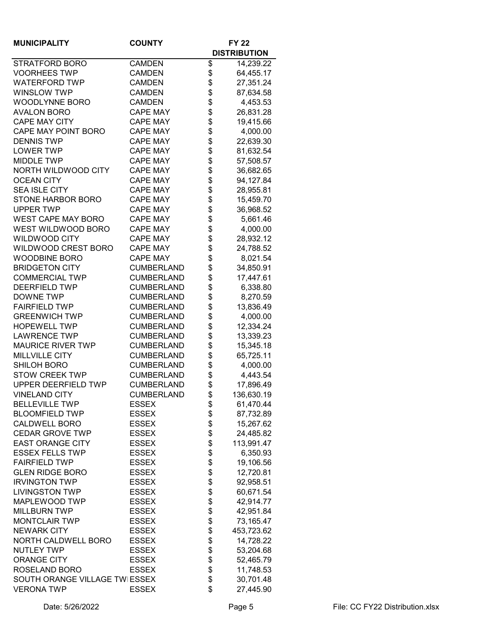| <b>MUNICIPALITY</b>           | <b>COUNTY</b>     | <b>FY 22</b> |                     |
|-------------------------------|-------------------|--------------|---------------------|
|                               |                   |              | <b>DISTRIBUTION</b> |
| STRATFORD BORO                | <b>CAMDEN</b>     | \$           | 14,239.22           |
| <b>VOORHEES TWP</b>           | <b>CAMDEN</b>     | \$           | 64,455.17           |
| <b>WATERFORD TWP</b>          | <b>CAMDEN</b>     | \$           | 27,351.24           |
| <b>WINSLOW TWP</b>            | <b>CAMDEN</b>     | \$           | 87,634.58           |
| <b>WOODLYNNE BORO</b>         | <b>CAMDEN</b>     | \$           | 4,453.53            |
| <b>AVALON BORO</b>            | <b>CAPE MAY</b>   | \$           | 26,831.28           |
| <b>CAPE MAY CITY</b>          | <b>CAPE MAY</b>   | \$           | 19,415.66           |
| CAPE MAY POINT BORO           | <b>CAPE MAY</b>   | \$           | 4,000.00            |
| <b>DENNIS TWP</b>             | <b>CAPE MAY</b>   | \$           | 22,639.30           |
| <b>LOWER TWP</b>              | <b>CAPE MAY</b>   | \$           | 81,632.54           |
| <b>MIDDLE TWP</b>             | <b>CAPE MAY</b>   | \$           | 57,508.57           |
| NORTH WILDWOOD CITY           | <b>CAPE MAY</b>   | \$           | 36,682.65           |
| <b>OCEAN CITY</b>             | <b>CAPE MAY</b>   | \$           | 94,127.84           |
| <b>SEA ISLE CITY</b>          | <b>CAPE MAY</b>   | \$           | 28,955.81           |
| STONE HARBOR BORO             | <b>CAPE MAY</b>   | \$           | 15,459.70           |
| <b>UPPER TWP</b>              | <b>CAPE MAY</b>   | \$           | 36,968.52           |
| <b>WEST CAPE MAY BORO</b>     | <b>CAPE MAY</b>   | \$           | 5,661.46            |
| WEST WILDWOOD BORO            | <b>CAPE MAY</b>   | \$           | 4,000.00            |
| WILDWOOD CITY                 | <b>CAPE MAY</b>   | \$           | 28,932.12           |
| WILDWOOD CREST BORO           | <b>CAPE MAY</b>   | \$           | 24,788.52           |
| <b>WOODBINE BORO</b>          | <b>CAPE MAY</b>   | \$           | 8,021.54            |
| <b>BRIDGETON CITY</b>         | <b>CUMBERLAND</b> | \$           | 34,850.91           |
| <b>COMMERCIAL TWP</b>         | <b>CUMBERLAND</b> | \$           | 17,447.61           |
| <b>DEERFIELD TWP</b>          | <b>CUMBERLAND</b> | \$           | 6,338.80            |
| <b>DOWNE TWP</b>              | <b>CUMBERLAND</b> | \$           | 8,270.59            |
| <b>FAIRFIELD TWP</b>          | <b>CUMBERLAND</b> | \$           | 13,836.49           |
| <b>GREENWICH TWP</b>          | <b>CUMBERLAND</b> | \$           | 4,000.00            |
| <b>HOPEWELL TWP</b>           | <b>CUMBERLAND</b> | \$           | 12,334.24           |
| <b>LAWRENCE TWP</b>           | <b>CUMBERLAND</b> | \$           | 13,339.23           |
| <b>MAURICE RIVER TWP</b>      | <b>CUMBERLAND</b> | \$           | 15,345.18           |
| <b>MILLVILLE CITY</b>         | <b>CUMBERLAND</b> | \$           | 65,725.11           |
| <b>SHILOH BORO</b>            | <b>CUMBERLAND</b> | \$           | 4,000.00            |
| <b>STOW CREEK TWP</b>         | <b>CUMBERLAND</b> | \$           | 4,443.54            |
| <b>UPPER DEERFIELD TWP</b>    | <b>CUMBERLAND</b> | \$           | 17,896.49           |
| VINELAND CITY                 | <b>CUMBERLAND</b> | \$           | 136,630.19          |
| <b>BELLEVILLE TWP</b>         | <b>ESSEX</b>      | \$           | 61,470.44           |
| <b>BLOOMFIELD TWP</b>         | <b>ESSEX</b>      | \$           | 87,732.89           |
| <b>CALDWELL BORO</b>          | <b>ESSEX</b>      | \$           | 15,267.62           |
| <b>CEDAR GROVE TWP</b>        | <b>ESSEX</b>      | \$           | 24,485.82           |
| <b>EAST ORANGE CITY</b>       | <b>ESSEX</b>      | \$           | 113,991.47          |
| <b>ESSEX FELLS TWP</b>        | <b>ESSEX</b>      | \$           | 6,350.93            |
| <b>FAIRFIELD TWP</b>          | <b>ESSEX</b>      | \$           | 19,106.56           |
| <b>GLEN RIDGE BORO</b>        | <b>ESSEX</b>      | \$           | 12,720.81           |
| <b>IRVINGTON TWP</b>          | <b>ESSEX</b>      | \$           | 92,958.51           |
| <b>LIVINGSTON TWP</b>         | <b>ESSEX</b>      | \$           | 60,671.54           |
| MAPLEWOOD TWP                 | <b>ESSEX</b>      | \$           | 42,914.77           |
| <b>MILLBURN TWP</b>           | <b>ESSEX</b>      | \$           | 42,951.84           |
| <b>MONTCLAIR TWP</b>          | <b>ESSEX</b>      | \$           | 73,165.47           |
| <b>NEWARK CITY</b>            | <b>ESSEX</b>      | \$           | 453,723.62          |
| NORTH CALDWELL BORO           | <b>ESSEX</b>      | \$           | 14,728.22           |
| <b>NUTLEY TWP</b>             | <b>ESSEX</b>      | \$           | 53,204.68           |
| <b>ORANGE CITY</b>            | <b>ESSEX</b>      | \$           | 52,465.79           |
| ROSELAND BORO                 | <b>ESSEX</b>      | \$           | 11,748.53           |
| SOUTH ORANGE VILLAGE TWIESSEX |                   | \$           | 30,701.48           |
| <b>VERONA TWP</b>             | <b>ESSEX</b>      | \$           | 27,445.90           |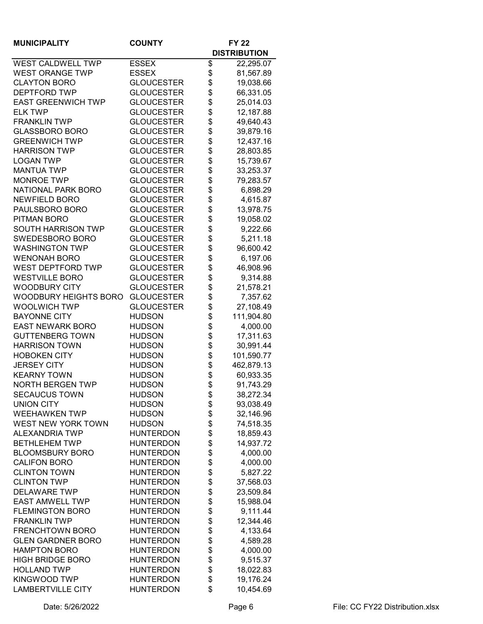| <b>MUNICIPALITY</b>          | <b>COUNTY</b>     | <b>FY 22</b> |                     |
|------------------------------|-------------------|--------------|---------------------|
|                              |                   |              | <b>DISTRIBUTION</b> |
| <b>WEST CALDWELL TWP</b>     | <b>ESSEX</b>      | \$           | 22,295.07           |
| <b>WEST ORANGE TWP</b>       | <b>ESSEX</b>      | \$           | 81,567.89           |
| <b>CLAYTON BORO</b>          | <b>GLOUCESTER</b> | \$           | 19,038.66           |
| <b>DEPTFORD TWP</b>          | <b>GLOUCESTER</b> | \$           | 66,331.05           |
| <b>EAST GREENWICH TWP</b>    | <b>GLOUCESTER</b> | \$           | 25,014.03           |
| <b>ELK TWP</b>               | <b>GLOUCESTER</b> | \$           | 12,187.88           |
| <b>FRANKLIN TWP</b>          | <b>GLOUCESTER</b> | \$           | 49,640.43           |
| <b>GLASSBORO BORO</b>        | <b>GLOUCESTER</b> | \$           | 39,879.16           |
| <b>GREENWICH TWP</b>         | <b>GLOUCESTER</b> | \$           | 12,437.16           |
| <b>HARRISON TWP</b>          | <b>GLOUCESTER</b> | \$           | 28,803.85           |
| <b>LOGAN TWP</b>             | <b>GLOUCESTER</b> | \$           | 15,739.67           |
| <b>MANTUA TWP</b>            | <b>GLOUCESTER</b> | \$           | 33,253.37           |
| <b>MONROE TWP</b>            | <b>GLOUCESTER</b> | \$           | 79,283.57           |
| <b>NATIONAL PARK BORO</b>    | <b>GLOUCESTER</b> | \$           | 6,898.29            |
| <b>NEWFIELD BORO</b>         | <b>GLOUCESTER</b> | \$           | 4,615.87            |
| PAULSBORO BORO               | <b>GLOUCESTER</b> | \$           | 13,978.75           |
| PITMAN BORO                  | <b>GLOUCESTER</b> | \$           | 19,058.02           |
| <b>SOUTH HARRISON TWP</b>    | <b>GLOUCESTER</b> | \$           | 9,222.66            |
| SWEDESBORO BORO              | <b>GLOUCESTER</b> | \$           | 5,211.18            |
| <b>WASHINGTON TWP</b>        | <b>GLOUCESTER</b> | \$           | 96,600.42           |
| <b>WENONAH BORO</b>          | <b>GLOUCESTER</b> | \$           | 6,197.06            |
| <b>WEST DEPTFORD TWP</b>     | <b>GLOUCESTER</b> | \$           | 46,908.96           |
| <b>WESTVILLE BORO</b>        | <b>GLOUCESTER</b> | \$           | 9,314.88            |
| <b>WOODBURY CITY</b>         | <b>GLOUCESTER</b> | \$           | 21,578.21           |
| <b>WOODBURY HEIGHTS BORO</b> | <b>GLOUCESTER</b> | \$           | 7,357.62            |
| <b>WOOLWICH TWP</b>          | <b>GLOUCESTER</b> | \$           | 27,108.49           |
| <b>BAYONNE CITY</b>          | <b>HUDSON</b>     | \$           | 111,904.80          |
| <b>EAST NEWARK BORO</b>      | <b>HUDSON</b>     | \$           | 4,000.00            |
| <b>GUTTENBERG TOWN</b>       | <b>HUDSON</b>     | \$           | 17,311.63           |
| <b>HARRISON TOWN</b>         | <b>HUDSON</b>     | \$           | 30,991.44           |
| <b>HOBOKEN CITY</b>          | <b>HUDSON</b>     | \$           | 101,590.77          |
| <b>JERSEY CITY</b>           | <b>HUDSON</b>     | \$           | 462,879.13          |
| <b>KEARNY TOWN</b>           | <b>HUDSON</b>     | \$           | 60,933.35           |
| <b>NORTH BERGEN TWP</b>      | <b>HUDSON</b>     | \$           | 91,743.29           |
| SECAUCUS TOWN                | HUDSON            | \$           | 38,272.34           |
| <b>UNION CITY</b>            | <b>HUDSON</b>     | \$           | 93,038.49           |
| <b>WEEHAWKEN TWP</b>         | <b>HUDSON</b>     | \$           | 32,146.96           |
| WEST NEW YORK TOWN           | <b>HUDSON</b>     | \$           | 74,518.35           |
| <b>ALEXANDRIA TWP</b>        | <b>HUNTERDON</b>  | \$           | 18,859.43           |
| <b>BETHLEHEM TWP</b>         | <b>HUNTERDON</b>  | \$           | 14,937.72           |
| <b>BLOOMSBURY BORO</b>       | <b>HUNTERDON</b>  | \$           | 4,000.00            |
| <b>CALIFON BORO</b>          | <b>HUNTERDON</b>  | \$           | 4,000.00            |
| <b>CLINTON TOWN</b>          | <b>HUNTERDON</b>  | \$           | 5,827.22            |
| <b>CLINTON TWP</b>           | <b>HUNTERDON</b>  | \$           | 37,568.03           |
| <b>DELAWARE TWP</b>          | <b>HUNTERDON</b>  | \$           | 23,509.84           |
| <b>EAST AMWELL TWP</b>       | <b>HUNTERDON</b>  | \$           | 15,988.04           |
| <b>FLEMINGTON BORO</b>       | <b>HUNTERDON</b>  | \$           | 9,111.44            |
| <b>FRANKLIN TWP</b>          | <b>HUNTERDON</b>  | \$           | 12,344.46           |
| <b>FRENCHTOWN BORO</b>       | <b>HUNTERDON</b>  | \$           | 4,133.64            |
| <b>GLEN GARDNER BORO</b>     | <b>HUNTERDON</b>  | \$           | 4,589.28            |
| <b>HAMPTON BORO</b>          | <b>HUNTERDON</b>  | \$           | 4,000.00            |
| <b>HIGH BRIDGE BORO</b>      | <b>HUNTERDON</b>  | \$           | 9,515.37            |
| <b>HOLLAND TWP</b>           | <b>HUNTERDON</b>  | \$           | 18,022.83           |
| <b>KINGWOOD TWP</b>          | <b>HUNTERDON</b>  | \$           | 19,176.24           |
| <b>LAMBERTVILLE CITY</b>     | <b>HUNTERDON</b>  | \$           | 10,454.69           |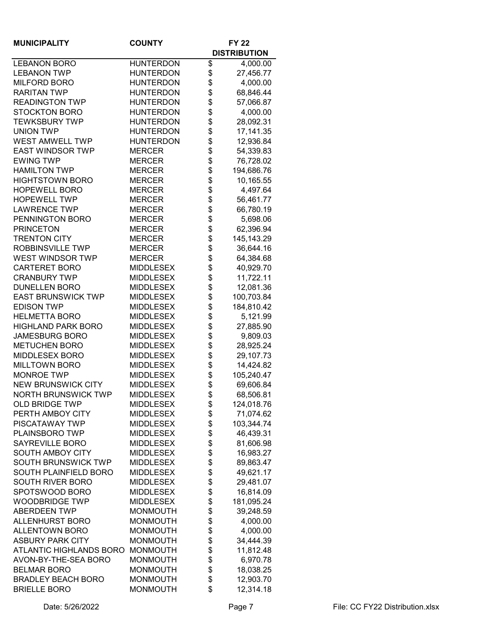| <b>MUNICIPALITY</b>            | <b>COUNTY</b>    | <b>FY 22</b> |                     |
|--------------------------------|------------------|--------------|---------------------|
|                                |                  |              | <b>DISTRIBUTION</b> |
| <b>LEBANON BORO</b>            | <b>HUNTERDON</b> | \$           | 4,000.00            |
| <b>LEBANON TWP</b>             | <b>HUNTERDON</b> | \$           | 27,456.77           |
| <b>MILFORD BORO</b>            | <b>HUNTERDON</b> | \$           | 4,000.00            |
| <b>RARITAN TWP</b>             | <b>HUNTERDON</b> | \$           | 68,846.44           |
| <b>READINGTON TWP</b>          | <b>HUNTERDON</b> | \$           | 57,066.87           |
| <b>STOCKTON BORO</b>           | <b>HUNTERDON</b> | \$           | 4,000.00            |
| <b>TEWKSBURY TWP</b>           | <b>HUNTERDON</b> | \$           | 28,092.31           |
| <b>UNION TWP</b>               | <b>HUNTERDON</b> | \$           | 17,141.35           |
| <b>WEST AMWELL TWP</b>         | <b>HUNTERDON</b> | \$           | 12,936.84           |
| <b>EAST WINDSOR TWP</b>        | <b>MERCER</b>    | \$           | 54,339.83           |
| <b>EWING TWP</b>               | <b>MERCER</b>    | \$           | 76,728.02           |
| <b>HAMILTON TWP</b>            | <b>MERCER</b>    | \$           | 194,686.76          |
| <b>HIGHTSTOWN BORO</b>         | <b>MERCER</b>    | \$           | 10,165.55           |
| <b>HOPEWELL BORO</b>           | <b>MERCER</b>    | \$           | 4,497.64            |
| <b>HOPEWELL TWP</b>            | <b>MERCER</b>    | \$           | 56,461.77           |
| <b>LAWRENCE TWP</b>            | <b>MERCER</b>    | \$           | 66,780.19           |
| PENNINGTON BORO                | <b>MERCER</b>    | \$           | 5,698.06            |
| <b>PRINCETON</b>               | <b>MERCER</b>    | \$           | 62,396.94           |
| <b>TRENTON CITY</b>            | <b>MERCER</b>    | \$           | 145, 143. 29        |
| <b>ROBBINSVILLE TWP</b>        | <b>MERCER</b>    | \$           | 36,644.16           |
| <b>WEST WINDSOR TWP</b>        | <b>MERCER</b>    | \$           | 64,384.68           |
| <b>CARTERET BORO</b>           | <b>MIDDLESEX</b> | \$           | 40,929.70           |
| <b>CRANBURY TWP</b>            | <b>MIDDLESEX</b> | \$           | 11,722.11           |
| <b>DUNELLEN BORO</b>           | <b>MIDDLESEX</b> | \$           | 12,081.36           |
| <b>EAST BRUNSWICK TWP</b>      | <b>MIDDLESEX</b> | \$           | 100,703.84          |
| <b>EDISON TWP</b>              | <b>MIDDLESEX</b> | \$           | 184,810.42          |
| <b>HELMETTA BORO</b>           | <b>MIDDLESEX</b> | \$           | 5,121.99            |
| <b>HIGHLAND PARK BORO</b>      | <b>MIDDLESEX</b> | \$           | 27,885.90           |
| <b>JAMESBURG BORO</b>          | <b>MIDDLESEX</b> | \$           | 9,809.03            |
| <b>METUCHEN BORO</b>           | <b>MIDDLESEX</b> | \$           | 28,925.24           |
| MIDDLESEX BORO                 | <b>MIDDLESEX</b> | \$           | 29,107.73           |
| <b>MILLTOWN BORO</b>           | <b>MIDDLESEX</b> | \$           | 14,424.82           |
| <b>MONROE TWP</b>              | <b>MIDDLESEX</b> | \$           | 105,240.47          |
| <b>NEW BRUNSWICK CITY</b>      | <b>MIDDLESEX</b> | \$           | 69,606.84           |
| NORTH BRUNSWICK TWP            | MIDDLESEX        | \$           | 68,506.81           |
| <b>OLD BRIDGE TWP</b>          | <b>MIDDLESEX</b> | \$           | 124,018.76          |
| PERTH AMBOY CITY               | <b>MIDDLESEX</b> | \$           | 71,074.62           |
| PISCATAWAY TWP                 | <b>MIDDLESEX</b> | \$           | 103,344.74          |
| PLAINSBORO TWP                 | <b>MIDDLESEX</b> | \$           | 46,439.31           |
| <b>SAYREVILLE BORO</b>         | <b>MIDDLESEX</b> | \$           | 81,606.98           |
| SOUTH AMBOY CITY               | <b>MIDDLESEX</b> | \$           | 16,983.27           |
| <b>SOUTH BRUNSWICK TWP</b>     | <b>MIDDLESEX</b> | \$           | 89,863.47           |
| SOUTH PLAINFIELD BORO          | <b>MIDDLESEX</b> | \$           | 49,621.17           |
| <b>SOUTH RIVER BORO</b>        | <b>MIDDLESEX</b> | \$           | 29,481.07           |
| SPOTSWOOD BORO                 | <b>MIDDLESEX</b> | \$           | 16,814.09           |
| <b>WOODBRIDGE TWP</b>          | <b>MIDDLESEX</b> | \$           | 181,095.24          |
| <b>ABERDEEN TWP</b>            | <b>MONMOUTH</b>  | \$           | 39,248.59           |
| <b>ALLENHURST BORO</b>         | <b>MONMOUTH</b>  | \$           | 4,000.00            |
| <b>ALLENTOWN BORO</b>          | <b>MONMOUTH</b>  | \$           | 4,000.00            |
| <b>ASBURY PARK CITY</b>        | <b>MONMOUTH</b>  | \$           | 34,444.39           |
| <b>ATLANTIC HIGHLANDS BORO</b> | <b>MONMOUTH</b>  | \$           | 11,812.48           |
| AVON-BY-THE-SEA BORO           | <b>MONMOUTH</b>  | \$           | 6,970.78            |
| <b>BELMAR BORO</b>             | <b>MONMOUTH</b>  | \$           | 18,038.25           |
| <b>BRADLEY BEACH BORO</b>      | <b>MONMOUTH</b>  | \$           | 12,903.70           |
| <b>BRIELLE BORO</b>            | <b>MONMOUTH</b>  | \$           | 12,314.18           |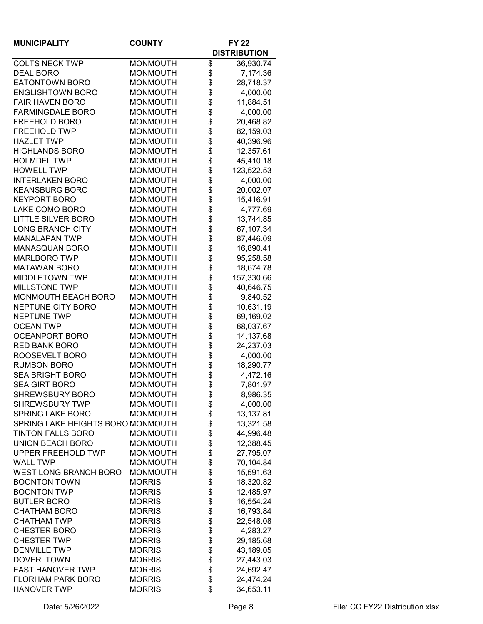| <b>MUNICIPALITY</b>                           | <b>COUNTY</b>   |    | <b>FY 22</b>        |
|-----------------------------------------------|-----------------|----|---------------------|
|                                               |                 |    | <b>DISTRIBUTION</b> |
| <b>COLTS NECK TWP</b>                         | <b>MONMOUTH</b> | \$ | 36,930.74           |
| <b>DEAL BORO</b>                              | <b>MONMOUTH</b> | \$ | 7,174.36            |
| <b>EATONTOWN BORO</b>                         | <b>MONMOUTH</b> | \$ | 28,718.37           |
| <b>ENGLISHTOWN BORO</b>                       | <b>MONMOUTH</b> | \$ | 4,000.00            |
| <b>FAIR HAVEN BORO</b>                        | <b>MONMOUTH</b> | \$ | 11,884.51           |
| <b>FARMINGDALE BORO</b>                       | <b>MONMOUTH</b> | \$ | 4,000.00            |
| FREEHOLD BORO                                 | <b>MONMOUTH</b> | \$ | 20,468.82           |
| <b>FREEHOLD TWP</b>                           | <b>MONMOUTH</b> | \$ | 82,159.03           |
| <b>HAZLET TWP</b>                             | <b>MONMOUTH</b> | \$ | 40,396.96           |
| <b>HIGHLANDS BORO</b>                         | <b>MONMOUTH</b> | \$ | 12,357.61           |
| <b>HOLMDEL TWP</b>                            | <b>MONMOUTH</b> | \$ | 45,410.18           |
| <b>HOWELL TWP</b>                             | <b>MONMOUTH</b> | \$ | 123,522.53          |
| <b>INTERLAKEN BORO</b>                        | <b>MONMOUTH</b> | \$ | 4,000.00            |
| <b>KEANSBURG BORO</b>                         | <b>MONMOUTH</b> | \$ | 20,002.07           |
| <b>KEYPORT BORO</b>                           | <b>MONMOUTH</b> | \$ | 15,416.91           |
| LAKE COMO BORO                                | <b>MONMOUTH</b> | \$ | 4,777.69            |
| <b>LITTLE SILVER BORO</b>                     | <b>MONMOUTH</b> | \$ | 13,744.85           |
| <b>LONG BRANCH CITY</b>                       | <b>MONMOUTH</b> | \$ | 67,107.34           |
| <b>MANALAPAN TWP</b>                          | <b>MONMOUTH</b> | \$ | 87,446.09           |
| MANASQUAN BORO                                | <b>MONMOUTH</b> | \$ | 16,890.41           |
| <b>MARLBORO TWP</b>                           | <b>MONMOUTH</b> | \$ | 95,258.58           |
| <b>MATAWAN BORO</b>                           | <b>MONMOUTH</b> | \$ | 18,674.78           |
| <b>MIDDLETOWN TWP</b>                         | <b>MONMOUTH</b> | \$ | 157,330.66          |
| <b>MILLSTONE TWP</b>                          | <b>MONMOUTH</b> |    |                     |
|                                               |                 | \$ | 40,646.75           |
| MONMOUTH BEACH BORO                           | <b>MONMOUTH</b> | \$ | 9,840.52            |
| NEPTUNE CITY BORO                             | <b>MONMOUTH</b> | \$ | 10,631.19           |
| <b>NEPTUNE TWP</b>                            | <b>MONMOUTH</b> | \$ | 69,169.02           |
| <b>OCEAN TWP</b>                              | <b>MONMOUTH</b> | \$ | 68,037.67           |
| <b>OCEANPORT BORO</b><br><b>RED BANK BORO</b> | <b>MONMOUTH</b> | \$ | 14,137.68           |
| ROOSEVELT BORO                                | <b>MONMOUTH</b> | \$ | 24,237.03           |
|                                               | <b>MONMOUTH</b> | \$ | 4,000.00            |
| <b>RUMSON BORO</b>                            | <b>MONMOUTH</b> | \$ | 18,290.77           |
| <b>SEA BRIGHT BORO</b>                        | <b>MONMOUTH</b> | \$ | 4,472.16            |
| <b>SEA GIRT BORO</b>                          | <b>MONMOUTH</b> | \$ | 7,801.97            |
| SHREWSBURY BORO                               | MONMOUTH        | Φ  | 8,986.35            |
| <b>SHREWSBURY TWP</b>                         | <b>MONMOUTH</b> | \$ | 4,000.00            |
| <b>SPRING LAKE BORO</b>                       | <b>MONMOUTH</b> | \$ | 13,137.81           |
| SPRING LAKE HEIGHTS BORO MONMOUTH             |                 | \$ | 13,321.58           |
| <b>TINTON FALLS BORO</b>                      | <b>MONMOUTH</b> | \$ | 44,996.48           |
| UNION BEACH BORO                              | <b>MONMOUTH</b> | \$ | 12,388.45           |
| UPPER FREEHOLD TWP                            | <b>MONMOUTH</b> | \$ | 27,795.07           |
| <b>WALL TWP</b>                               | <b>MONMOUTH</b> | \$ | 70,104.84           |
| WEST LONG BRANCH BORO                         | <b>MONMOUTH</b> | \$ | 15,591.63           |
| <b>BOONTON TOWN</b>                           | <b>MORRIS</b>   | \$ | 18,320.82           |
| <b>BOONTON TWP</b>                            | <b>MORRIS</b>   | \$ | 12,485.97           |
| <b>BUTLER BORO</b>                            | <b>MORRIS</b>   | \$ | 16,554.24           |
| <b>CHATHAM BORO</b>                           | <b>MORRIS</b>   | \$ | 16,793.84           |
| <b>CHATHAM TWP</b>                            | <b>MORRIS</b>   | \$ | 22,548.08           |
| <b>CHESTER BORO</b>                           | <b>MORRIS</b>   | \$ | 4,283.27            |
| <b>CHESTER TWP</b>                            | <b>MORRIS</b>   | \$ | 29,185.68           |
| <b>DENVILLE TWP</b>                           | <b>MORRIS</b>   | \$ | 43,189.05           |
| DOVER TOWN                                    | <b>MORRIS</b>   | \$ | 27,443.03           |
| <b>EAST HANOVER TWP</b>                       | <b>MORRIS</b>   | \$ | 24,692.47           |
| <b>FLORHAM PARK BORO</b>                      | <b>MORRIS</b>   | \$ | 24,474.24           |
| <b>HANOVER TWP</b>                            | <b>MORRIS</b>   | \$ | 34,653.11           |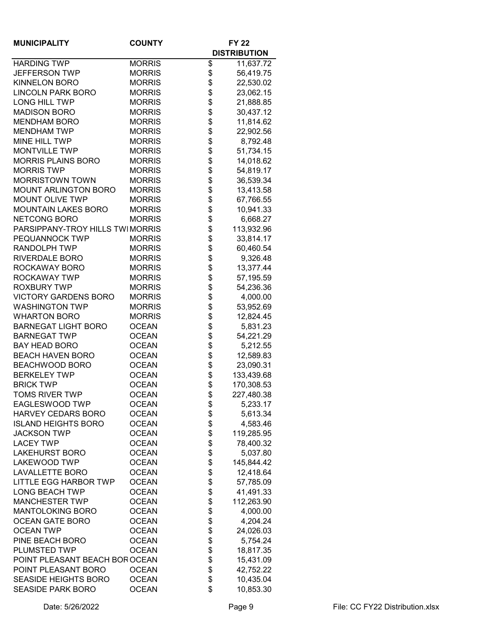| <b>MUNICIPALITY</b>             | <b>COUNTY</b> |          | <b>FY 22</b>        |
|---------------------------------|---------------|----------|---------------------|
|                                 |               |          | <b>DISTRIBUTION</b> |
| <b>HARDING TWP</b>              | <b>MORRIS</b> | \$       | 11,637.72           |
| <b>JEFFERSON TWP</b>            | <b>MORRIS</b> | \$       | 56,419.75           |
| <b>KINNELON BORO</b>            | <b>MORRIS</b> | \$\$\$   | 22,530.02           |
| <b>LINCOLN PARK BORO</b>        | <b>MORRIS</b> |          | 23,062.15           |
| LONG HILL TWP                   | <b>MORRIS</b> |          | 21,888.85           |
| <b>MADISON BORO</b>             | <b>MORRIS</b> |          | 30,437.12           |
| <b>MENDHAM BORO</b>             | <b>MORRIS</b> | \$       | 11,814.62           |
| <b>MENDHAM TWP</b>              | <b>MORRIS</b> | \$       | 22,902.56           |
| MINE HILL TWP                   | <b>MORRIS</b> |          | 8,792.48            |
| <b>MONTVILLE TWP</b>            | <b>MORRIS</b> | \$<br>\$ | 51,734.15           |
| <b>MORRIS PLAINS BORO</b>       | <b>MORRIS</b> | \$       | 14,018.62           |
| <b>MORRIS TWP</b>               | <b>MORRIS</b> | \$       | 54,819.17           |
| <b>MORRISTOWN TOWN</b>          | <b>MORRIS</b> | \$       | 36,539.34           |
| <b>MOUNT ARLINGTON BORO</b>     | <b>MORRIS</b> | \$       | 13,413.58           |
| <b>MOUNT OLIVE TWP</b>          | <b>MORRIS</b> | \$       | 67,766.55           |
| <b>MOUNTAIN LAKES BORO</b>      | <b>MORRIS</b> | \$       | 10,941.33           |
| NETCONG BORO                    | <b>MORRIS</b> | \$       | 6,668.27            |
| PARSIPPANY-TROY HILLS TWIMORRIS |               | \$       | 113,932.96          |
| PEQUANNOCK TWP                  | <b>MORRIS</b> | \$       | 33,814.17           |
| RANDOLPH TWP                    | <b>MORRIS</b> |          | 60,460.54           |
| RIVERDALE BORO                  | <b>MORRIS</b> | \$\$     | 9,326.48            |
| ROCKAWAY BORO                   | <b>MORRIS</b> |          | 13,377.44           |
| ROCKAWAY TWP                    | <b>MORRIS</b> | \$       | 57,195.59           |
| <b>ROXBURY TWP</b>              | <b>MORRIS</b> | \$       | 54,236.36           |
| <b>VICTORY GARDENS BORO</b>     | <b>MORRIS</b> | \$       | 4,000.00            |
| <b>WASHINGTON TWP</b>           | <b>MORRIS</b> | \$       | 53,952.69           |
| <b>WHARTON BORO</b>             | <b>MORRIS</b> | \$       | 12,824.45           |
| <b>BARNEGAT LIGHT BORO</b>      | <b>OCEAN</b>  | \$       | 5,831.23            |
| <b>BARNEGAT TWP</b>             | <b>OCEAN</b>  | \$       | 54,221.29           |
| <b>BAY HEAD BORO</b>            | <b>OCEAN</b>  | \$       | 5,212.55            |
| <b>BEACH HAVEN BORO</b>         | <b>OCEAN</b>  | \$       | 12,589.83           |
| BEACHWOOD BORO                  | <b>OCEAN</b>  | \$       | 23,090.31           |
| <b>BERKELEY TWP</b>             | <b>OCEAN</b>  | \$       | 133,439.68          |
| <b>BRICK TWP</b>                | <b>OCEAN</b>  | \$       | 170,308.53          |
| <b>TOMS RIVER TWP</b>           | <b>OCEAN</b>  |          | 227,480.38          |
| EAGLESWOOD TWP                  | <b>OCEAN</b>  | Φ        |                     |
| HARVEY CEDARS BORO              | <b>OCEAN</b>  | \$<br>\$ | 5,233.17            |
|                                 |               | \$       | 5,613.34            |
| <b>ISLAND HEIGHTS BORO</b>      | <b>OCEAN</b>  |          | 4,583.46            |
| <b>JACKSON TWP</b>              | <b>OCEAN</b>  | \$<br>\$ | 119,285.95          |
| <b>LACEY TWP</b>                | <b>OCEAN</b>  |          | 78,400.32           |
| <b>LAKEHURST BORO</b>           | <b>OCEAN</b>  | \$       | 5,037.80            |
| <b>LAKEWOOD TWP</b>             | <b>OCEAN</b>  | \$       | 145,844.42          |
| <b>LAVALLETTE BORO</b>          | <b>OCEAN</b>  | \$       | 12,418.64           |
| <b>LITTLE EGG HARBOR TWP</b>    | <b>OCEAN</b>  | \$       | 57,785.09           |
| <b>LONG BEACH TWP</b>           | <b>OCEAN</b>  | \$       | 41,491.33           |
| <b>MANCHESTER TWP</b>           | <b>OCEAN</b>  | \$       | 112,263.90          |
| <b>MANTOLOKING BORO</b>         | <b>OCEAN</b>  | \$       | 4,000.00            |
| <b>OCEAN GATE BORO</b>          | <b>OCEAN</b>  | \$       | 4,204.24            |
| <b>OCEAN TWP</b>                | <b>OCEAN</b>  | \$       | 24,026.03           |
| PINE BEACH BORO                 | <b>OCEAN</b>  | \$       | 5,754.24            |
| PLUMSTED TWP                    | <b>OCEAN</b>  | \$       | 18,817.35           |
| POINT PLEASANT BEACH BOR OCEAN  |               | \$       | 15,431.09           |
| POINT PLEASANT BORO             | <b>OCEAN</b>  | \$       | 42,752.22           |
| <b>SEASIDE HEIGHTS BORO</b>     | <b>OCEAN</b>  | \$       | 10,435.04           |
| <b>SEASIDE PARK BORO</b>        | <b>OCEAN</b>  | \$       | 10,853.30           |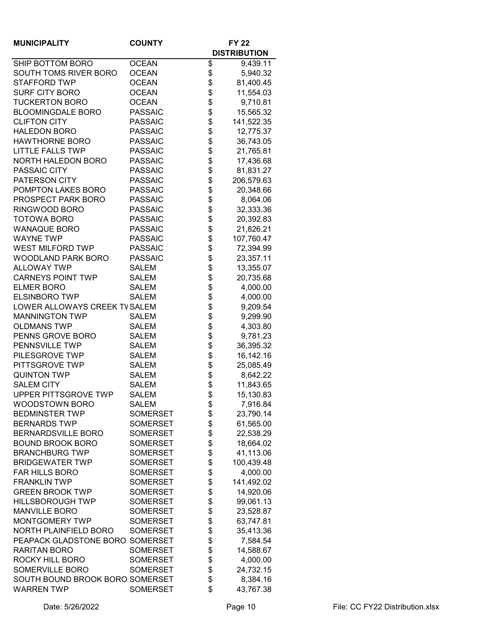| <b>MUNICIPALITY</b>             | <b>COUNTY</b>   |    | <b>FY 22</b>        |
|---------------------------------|-----------------|----|---------------------|
|                                 |                 |    | <b>DISTRIBUTION</b> |
| SHIP BOTTOM BORO                | <b>OCEAN</b>    | \$ | 9,439.11            |
| SOUTH TOMS RIVER BORO           | <b>OCEAN</b>    | \$ | 5,940.32            |
| STAFFORD TWP                    | <b>OCEAN</b>    | \$ | 81,400.45           |
| <b>SURF CITY BORO</b>           | <b>OCEAN</b>    | \$ | 11,554.03           |
| <b>TUCKERTON BORO</b>           | <b>OCEAN</b>    | \$ | 9,710.81            |
| <b>BLOOMINGDALE BORO</b>        | <b>PASSAIC</b>  | \$ | 15,565.32           |
| <b>CLIFTON CITY</b>             | <b>PASSAIC</b>  | \$ | 141,522.35          |
| <b>HALEDON BORO</b>             | <b>PASSAIC</b>  | \$ | 12,775.37           |
| <b>HAWTHORNE BORO</b>           | <b>PASSAIC</b>  | \$ | 36,743.05           |
| <b>LITTLE FALLS TWP</b>         | <b>PASSAIC</b>  | \$ | 21,765.81           |
| <b>NORTH HALEDON BORO</b>       | <b>PASSAIC</b>  | \$ | 17,436.68           |
| PASSAIC CITY                    | <b>PASSAIC</b>  | \$ | 81,831.27           |
| PATERSON CITY                   | <b>PASSAIC</b>  | \$ | 206,579.63          |
| POMPTON LAKES BORO              | <b>PASSAIC</b>  | \$ | 20,348.66           |
| PROSPECT PARK BORO              | <b>PASSAIC</b>  | \$ | 8,064.06            |
| RINGWOOD BORO                   | <b>PASSAIC</b>  | \$ | 32,333.36           |
| <b>TOTOWA BORO</b>              | <b>PASSAIC</b>  | \$ | 20,392.83           |
| <b>WANAQUE BORO</b>             | <b>PASSAIC</b>  | \$ | 21,826.21           |
| <b>WAYNE TWP</b>                | <b>PASSAIC</b>  | \$ | 107,760.47          |
| WEST MILFORD TWP                | <b>PASSAIC</b>  | \$ | 72,394.99           |
| <b>WOODLAND PARK BORO</b>       | <b>PASSAIC</b>  | \$ | 23,357.11           |
| <b>ALLOWAY TWP</b>              | <b>SALEM</b>    | \$ | 13,355.07           |
| <b>CARNEYS POINT TWP</b>        | <b>SALEM</b>    | \$ | 20,735.68           |
| <b>ELMER BORO</b>               | <b>SALEM</b>    | \$ | 4,000.00            |
| <b>ELSINBORO TWP</b>            | <b>SALEM</b>    | \$ | 4,000.00            |
| LOWER ALLOWAYS CREEK TV SALEM   |                 | \$ | 9,209.54            |
| <b>MANNINGTON TWP</b>           | <b>SALEM</b>    | \$ | 9,299.90            |
| <b>OLDMANS TWP</b>              | <b>SALEM</b>    | \$ | 4,303.80            |
| PENNS GROVE BORO                | <b>SALEM</b>    | \$ | 9,781.23            |
| PENNSVILLE TWP                  | <b>SALEM</b>    | \$ | 36,395.32           |
| PILESGROVE TWP                  | <b>SALEM</b>    | \$ | 16,142.16           |
| PITTSGROVE TWP                  | <b>SALEM</b>    | \$ | 25,085.49           |
| <b>QUINTON TWP</b>              | <b>SALEM</b>    | \$ | 8,642.22            |
| <b>SALEM CITY</b>               | <b>SALEM</b>    | \$ | 11,843.65           |
| UPPER PITTSGROVE TWP            | <b>SALEM</b>    | Φ  | 15,130.83           |
| <b>WOODSTOWN BORO</b>           | <b>SALEM</b>    | \$ | 7,916.84            |
| <b>BEDMINSTER TWP</b>           | <b>SOMERSET</b> | \$ | 23,790.14           |
| <b>BERNARDS TWP</b>             | <b>SOMERSET</b> | \$ | 61,565.00           |
| <b>BERNARDSVILLE BORO</b>       | <b>SOMERSET</b> | \$ | 22,538.29           |
| <b>BOUND BROOK BORO</b>         | <b>SOMERSET</b> | \$ | 18,664.02           |
| <b>BRANCHBURG TWP</b>           | <b>SOMERSET</b> | \$ | 41,113.06           |
| <b>BRIDGEWATER TWP</b>          | <b>SOMERSET</b> | \$ | 100,439.48          |
| <b>FAR HILLS BORO</b>           | <b>SOMERSET</b> | \$ | 4,000.00            |
| <b>FRANKLIN TWP</b>             | <b>SOMERSET</b> | \$ | 141,492.02          |
| <b>GREEN BROOK TWP</b>          | <b>SOMERSET</b> | \$ | 14,920.06           |
| <b>HILLSBOROUGH TWP</b>         | <b>SOMERSET</b> | \$ | 99,061.13           |
| <b>MANVILLE BORO</b>            | <b>SOMERSET</b> | \$ | 23,528.87           |
| MONTGOMERY TWP                  | <b>SOMERSET</b> | \$ | 63,747.81           |
| <b>NORTH PLAINFIELD BORO</b>    | <b>SOMERSET</b> | \$ | 35,413.36           |
| PEAPACK GLADSTONE BORO SOMERSET |                 | \$ | 7,584.54            |
| <b>RARITAN BORO</b>             | <b>SOMERSET</b> | \$ | 14,588.67           |
| ROCKY HILL BORO                 | <b>SOMERSET</b> | \$ | 4,000.00            |
| SOMERVILLE BORO                 | <b>SOMERSET</b> | \$ | 24,732.15           |
| SOUTH BOUND BROOK BORO SOMERSET |                 | \$ | 8,384.16            |
| <b>WARREN TWP</b>               | <b>SOMERSET</b> | \$ | 43,767.38           |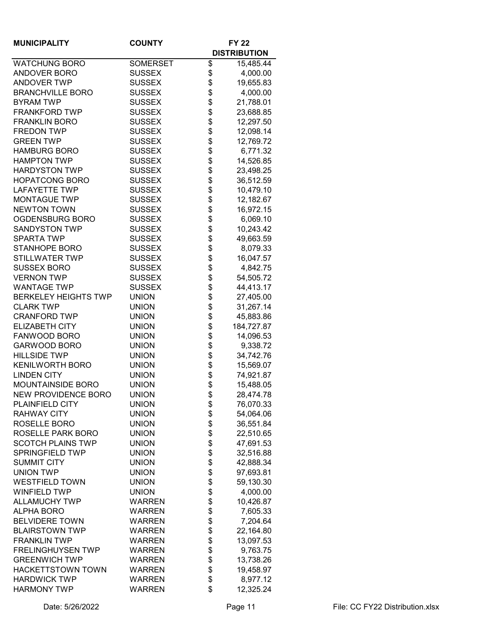| <b>MUNICIPALITY</b>                             | <b>COUNTY</b>                  |          | <b>FY 22</b>          |
|-------------------------------------------------|--------------------------------|----------|-----------------------|
|                                                 |                                |          | <b>DISTRIBUTION</b>   |
| <b>WATCHUNG BORO</b>                            | <b>SOMERSET</b>                | \$       | 15,485.44             |
| <b>ANDOVER BORO</b>                             | <b>SUSSEX</b>                  | \$       | 4,000.00              |
| <b>ANDOVER TWP</b>                              | <b>SUSSEX</b>                  | \$       | 19,655.83             |
| <b>BRANCHVILLE BORO</b>                         | <b>SUSSEX</b>                  | \$       | 4,000.00              |
| <b>BYRAM TWP</b>                                | <b>SUSSEX</b>                  | \$       | 21,788.01             |
| <b>FRANKFORD TWP</b>                            | <b>SUSSEX</b>                  | \$       | 23,688.85             |
| <b>FRANKLIN BORO</b>                            | <b>SUSSEX</b>                  | \$       | 12,297.50             |
| <b>FREDON TWP</b>                               | <b>SUSSEX</b>                  | \$       | 12,098.14             |
| <b>GREEN TWP</b>                                | <b>SUSSEX</b>                  | \$       | 12,769.72             |
| <b>HAMBURG BORO</b>                             | <b>SUSSEX</b>                  | \$       | 6,771.32              |
| <b>HAMPTON TWP</b>                              | <b>SUSSEX</b>                  | \$       | 14,526.85             |
| <b>HARDYSTON TWP</b>                            | <b>SUSSEX</b>                  | \$       | 23,498.25             |
| <b>HOPATCONG BORO</b>                           | <b>SUSSEX</b>                  | \$       | 36,512.59             |
| <b>LAFAYETTE TWP</b>                            | <b>SUSSEX</b>                  | \$       | 10,479.10             |
| <b>MONTAGUE TWP</b>                             | <b>SUSSEX</b>                  | \$       | 12,182.67             |
| <b>NEWTON TOWN</b>                              | <b>SUSSEX</b>                  | \$       | 16,972.15             |
| OGDENSBURG BORO                                 | <b>SUSSEX</b>                  | \$       | 6,069.10              |
| <b>SANDYSTON TWP</b>                            | <b>SUSSEX</b>                  | \$       | 10,243.42             |
| <b>SPARTA TWP</b>                               | <b>SUSSEX</b>                  | \$       | 49,663.59             |
| <b>STANHOPE BORO</b>                            | <b>SUSSEX</b>                  | \$       | 8,079.33              |
| STILLWATER TWP                                  | <b>SUSSEX</b>                  | \$       | 16,047.57             |
| <b>SUSSEX BORO</b>                              | <b>SUSSEX</b>                  | \$       | 4,842.75              |
| <b>VERNON TWP</b>                               | <b>SUSSEX</b>                  | \$       | 54,505.72             |
| <b>WANTAGE TWP</b>                              | <b>SUSSEX</b>                  | \$       | 44,413.17             |
| <b>BERKELEY HEIGHTS TWP</b>                     | <b>UNION</b>                   | \$       | 27,405.00             |
| <b>CLARK TWP</b>                                | <b>UNION</b>                   | \$       | 31,267.14             |
| <b>CRANFORD TWP</b>                             | <b>UNION</b>                   | \$       | 45,883.86             |
| ELIZABETH CITY                                  | <b>UNION</b>                   | \$       | 184,727.87            |
| FANWOOD BORO                                    | <b>UNION</b>                   | \$       | 14,096.53             |
| <b>GARWOOD BORO</b>                             | <b>UNION</b>                   | \$       | 9,338.72              |
| <b>HILLSIDE TWP</b>                             | <b>UNION</b>                   | \$       | 34,742.76             |
| <b>KENILWORTH BORO</b>                          | <b>UNION</b>                   | \$       | 15,569.07             |
| <b>LINDEN CITY</b>                              | <b>UNION</b>                   | \$       | 74,921.87             |
| <b>MOUNTAINSIDE BORO</b>                        | <b>UNION</b>                   | \$       | 15,488.05             |
| NEW PROVIDENCE BORO                             | UNION                          | Φ        | 28,474.78             |
| <b>PLAINFIELD CITY</b>                          | <b>UNION</b>                   | \$       | 76,070.33             |
| <b>RAHWAY CITY</b>                              | <b>UNION</b>                   | \$       | 54,064.06             |
| ROSELLE BORO                                    | <b>UNION</b>                   | \$       | 36,551.84             |
| ROSELLE PARK BORO                               | <b>UNION</b>                   | \$       | 22,510.65             |
| <b>SCOTCH PLAINS TWP</b>                        | <b>UNION</b>                   | \$       | 47,691.53             |
| <b>SPRINGFIELD TWP</b>                          | <b>UNION</b>                   | \$       | 32,516.88             |
| <b>SUMMIT CITY</b>                              | <b>UNION</b>                   | \$       | 42,888.34             |
| <b>UNION TWP</b>                                | <b>UNION</b>                   | \$       | 97,693.81             |
| <b>WESTFIELD TOWN</b>                           | <b>UNION</b>                   | \$       | 59,130.30             |
| <b>WINFIELD TWP</b>                             | <b>UNION</b>                   | \$       | 4,000.00              |
| <b>ALLAMUCHY TWP</b>                            | WARREN                         | \$       | 10,426.87             |
| <b>ALPHA BORO</b>                               | <b>WARREN</b>                  | \$       | 7,605.33              |
| <b>BELVIDERE TOWN</b>                           | <b>WARREN</b>                  | \$       | 7,204.64              |
| <b>BLAIRSTOWN TWP</b>                           | <b>WARREN</b>                  | \$       | 22,164.80             |
| <b>FRANKLIN TWP</b>                             | <b>WARREN</b>                  | \$       | 13,097.53             |
| <b>FRELINGHUYSEN TWP</b>                        | <b>WARREN</b>                  | \$       | 9,763.75              |
| <b>GREENWICH TWP</b>                            | <b>WARREN</b>                  | \$       | 13,738.26             |
| <b>HACKETTSTOWN TOWN</b><br><b>HARDWICK TWP</b> | <b>WARREN</b><br><b>WARREN</b> | \$<br>\$ | 19,458.97             |
| <b>HARMONY TWP</b>                              | <b>WARREN</b>                  | \$       | 8,977.12<br>12,325.24 |
|                                                 |                                |          |                       |